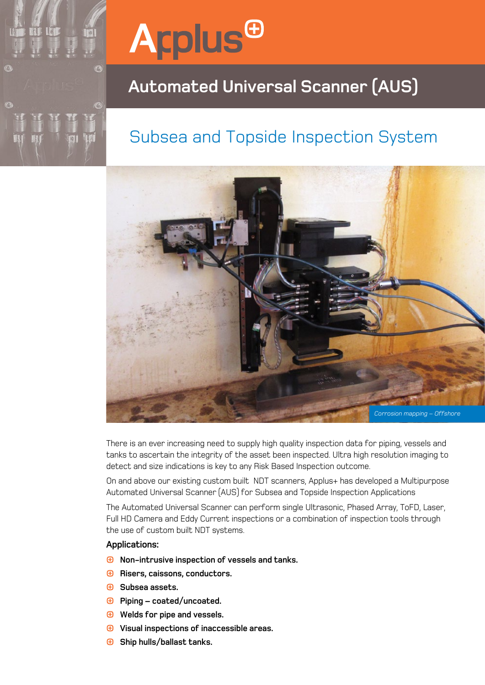# **Arplus<sup>®</sup>**

Ħ S 3

## **Automated Universal Scanner (AUS)**

## Subsea and Topside Inspection System



There is an ever increasing need to supply high quality inspection data for piping, vessels and tanks to ascertain the integrity of the asset been inspected. Ultra high resolution imaging to detect and size indications is key to any Risk Based Inspection outcome.

On and above our existing custom built NDT scanners, Applus+ has developed a Multipurpose Automated Universal Scanner (AUS) for Subsea and Topside Inspection Applications

The Automated Universal Scanner can perform single Ultrasonic, Phased Array, ToFD, Laser, Full HD Camera and Eddy Current inspections or a combination of inspection tools through the use of custom built NDT systems.

### **Applications:**

- **Non-intrusive inspection of vessels and tanks.**
- $\bigoplus$  Risers, caissons, conductors.
- **Subsea assets.**
- **Piping coated/uncoated.**
- **Welds for pipe and vessels.**
- **Visual inspections of inaccessible areas.**
- **Ship hulls/ballast tanks.**